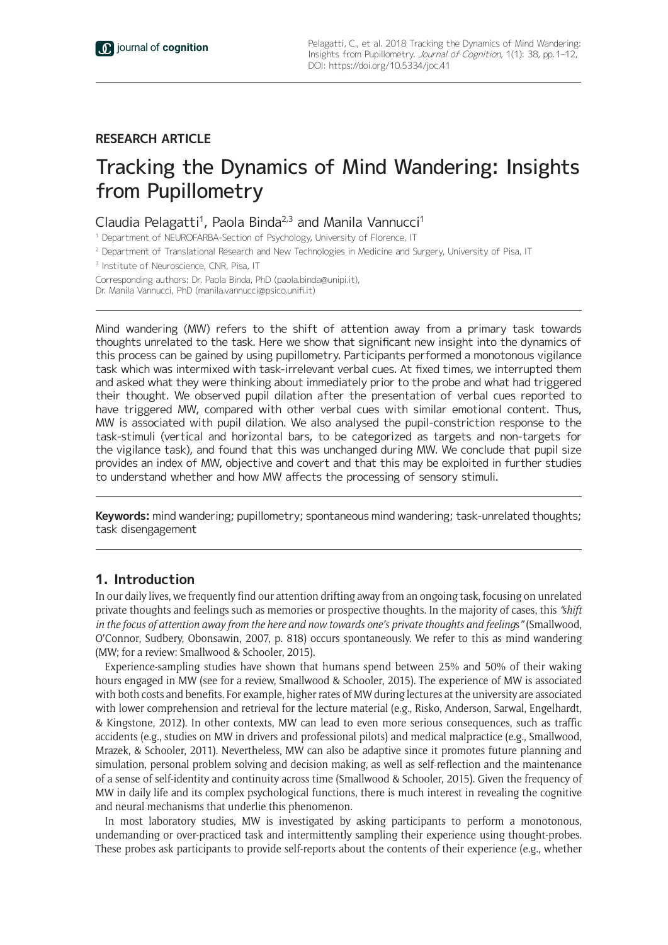# **RESEARCH ARTICLE**

# Tracking the Dynamics of Mind Wandering: Insights from Pupillometry

# Claudia Pelagatti<sup>1</sup>, Paola Binda<sup>2,3</sup> and Manila Vannucci<sup>1</sup>

<sup>1</sup> Department of NEUROFARBA-Section of Psychology, University of Florence, IT

<sup>2</sup> Department of Translational Research and New Technologies in Medicine and Surgery, University of Pisa, IT

<sup>3</sup> Institute of Neuroscience, CNR, Pisa, IT

Corresponding authors: Dr. Paola Binda, PhD (paola.binda@unipi.it), Dr. Manila Vannucci, PhD ([manila.vannucci@psico.unifi.it](mailto:manila.vannucci@psico.unifi.it))

Mind wandering (MW) refers to the shift of attention away from a primary task towards thoughts unrelated to the task. Here we show that significant new insight into the dynamics of this process can be gained by using pupillometry. Participants performed a monotonous vigilance task which was intermixed with task-irrelevant verbal cues. At fixed times, we interrupted them and asked what they were thinking about immediately prior to the probe and what had triggered their thought. We observed pupil dilation after the presentation of verbal cues reported to have triggered MW, compared with other verbal cues with similar emotional content. Thus, MW is associated with pupil dilation. We also analysed the pupil-constriction response to the task-stimuli (vertical and horizontal bars, to be categorized as targets and non-targets for the vigilance task), and found that this was unchanged during MW. We conclude that pupil size provides an index of MW, objective and covert and that this may be exploited in further studies to understand whether and how MW affects the processing of sensory stimuli.

**Keywords:** mind wandering; pupillometry; spontaneous mind wandering; task-unrelated thoughts; task disengagement

## **1. Introduction**

In our daily lives, we frequently find our attention drifting away from an ongoing task, focusing on unrelated private thoughts and feelings such as memories or prospective thoughts. In the majority of cases, this *"shift in the focus of attention away from the here and now towards one's private thoughts and feeling*s*"* (Smallwood, O'Connor, Sudbery, Obonsawin, 2007, p. 818) occurs spontaneously. We refer to this as mind wandering (MW; for a review: Smallwood & Schooler, 2015).

Experience-sampling studies have shown that humans spend between 25% and 50% of their waking hours engaged in MW (see for a review, Smallwood & Schooler, 2015). The experience of MW is associated with both costs and benefits. For example, higher rates of MW during lectures at the university are associated with lower comprehension and retrieval for the lecture material (e.g., Risko, Anderson, Sarwal, Engelhardt, & Kingstone, 2012). In other contexts, MW can lead to even more serious consequences, such as traffic accidents (e.g., studies on MW in drivers and professional pilots) and medical malpractice (e.g., Smallwood, Mrazek, & Schooler, 2011). Nevertheless, MW can also be adaptive since it promotes future planning and simulation, personal problem solving and decision making, as well as self-reflection and the maintenance of a sense of self-identity and continuity across time (Smallwood & Schooler, 2015). Given the frequency of MW in daily life and its complex psychological functions, there is much interest in revealing the cognitive and neural mechanisms that underlie this phenomenon.

In most laboratory studies, MW is investigated by asking participants to perform a monotonous, undemanding or over-practiced task and intermittently sampling their experience using thought-probes. These probes ask participants to provide self-reports about the contents of their experience (e.g., whether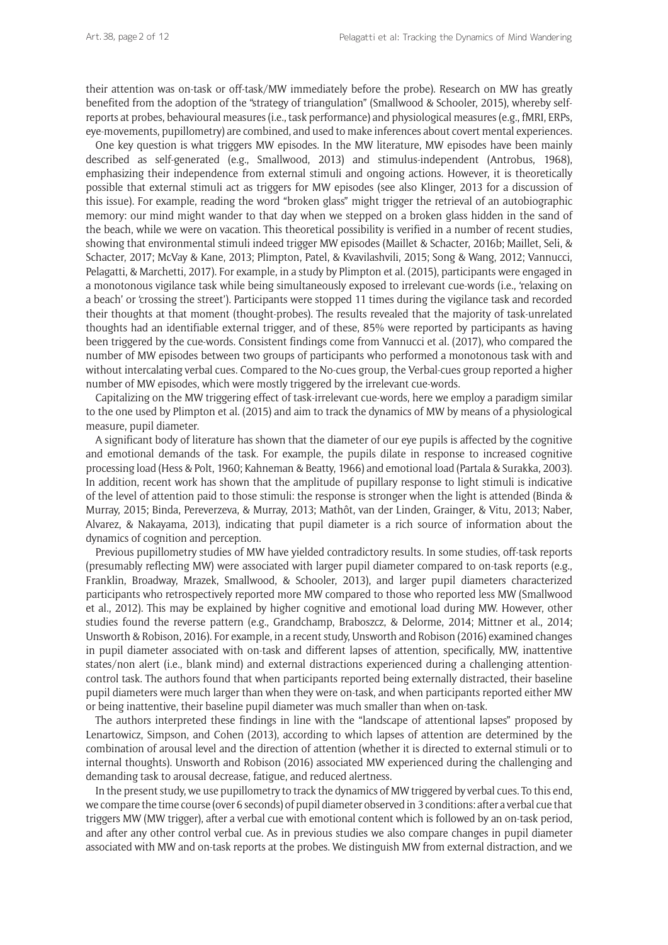their attention was on-task or off-task/MW immediately before the probe). Research on MW has greatly benefited from the adoption of the "strategy of triangulation" (Smallwood & Schooler, 2015), whereby selfreports at probes, behavioural measures (i.e., task performance) and physiological measures (e.g., fMRI, ERPs, eye-movements, pupillometry) are combined, and used to make inferences about covert mental experiences.

One key question is what triggers MW episodes. In the MW literature, MW episodes have been mainly described as self-generated (e.g., Smallwood, 2013) and stimulus-independent (Antrobus, 1968), emphasizing their independence from external stimuli and ongoing actions. However, it is theoretically possible that external stimuli act as triggers for MW episodes (see also Klinger, 2013 for a discussion of this issue). For example, reading the word "broken glass" might trigger the retrieval of an autobiographic memory: our mind might wander to that day when we stepped on a broken glass hidden in the sand of the beach, while we were on vacation. This theoretical possibility is verified in a number of recent studies, showing that environmental stimuli indeed trigger MW episodes (Maillet & Schacter, 2016b; Maillet, Seli, & Schacter, 2017; McVay & Kane, 2013; Plimpton, Patel, & Kvavilashvili, 2015; Song & Wang, 2012; Vannucci, Pelagatti, & Marchetti, 2017). For example, in a study by Plimpton et al. (2015), participants were engaged in a monotonous vigilance task while being simultaneously exposed to irrelevant cue-words (i.e., 'relaxing on a beach' or 'crossing the street'). Participants were stopped 11 times during the vigilance task and recorded their thoughts at that moment (thought-probes). The results revealed that the majority of task-unrelated thoughts had an identifiable external trigger, and of these, 85% were reported by participants as having been triggered by the cue-words. Consistent findings come from Vannucci et al. (2017), who compared the number of MW episodes between two groups of participants who performed a monotonous task with and without intercalating verbal cues. Compared to the No-cues group, the Verbal-cues group reported a higher number of MW episodes, which were mostly triggered by the irrelevant cue-words.

Capitalizing on the MW triggering effect of task-irrelevant cue-words, here we employ a paradigm similar to the one used by Plimpton et al. (2015) and aim to track the dynamics of MW by means of a physiological measure, pupil diameter.

A significant body of literature has shown that the diameter of our eye pupils is affected by the cognitive and emotional demands of the task. For example, the pupils dilate in response to increased cognitive processing load (Hess & Polt, 1960; Kahneman & Beatty, 1966) and emotional load (Partala & Surakka, 2003). In addition, recent work has shown that the amplitude of pupillary response to light stimuli is indicative of the level of attention paid to those stimuli: the response is stronger when the light is attended (Binda & Murray, 2015; Binda, Pereverzeva, & Murray, 2013; Mathôt, van der Linden, Grainger, & Vitu, 2013; Naber, Alvarez, & Nakayama, 2013), indicating that pupil diameter is a rich source of information about the dynamics of cognition and perception.

Previous pupillometry studies of MW have yielded contradictory results. In some studies, off-task reports (presumably reflecting MW) were associated with larger pupil diameter compared to on-task reports (e.g., Franklin, Broadway, Mrazek, Smallwood, & Schooler, 2013), and larger pupil diameters characterized participants who retrospectively reported more MW compared to those who reported less MW (Smallwood et al., 2012). This may be explained by higher cognitive and emotional load during MW. However, other studies found the reverse pattern (e.g., Grandchamp, Braboszcz, & Delorme, 2014; Mittner et al., 2014; Unsworth & Robison, 2016). For example, in a recent study, Unsworth and Robison (2016) examined changes in pupil diameter associated with on-task and different lapses of attention, specifically, MW, inattentive states/non alert (i.e., blank mind) and external distractions experienced during a challenging attentioncontrol task. The authors found that when participants reported being externally distracted, their baseline pupil diameters were much larger than when they were on-task, and when participants reported either MW or being inattentive, their baseline pupil diameter was much smaller than when on-task.

The authors interpreted these findings in line with the "landscape of attentional lapses" proposed by Lenartowicz, Simpson, and Cohen (2013), according to which lapses of attention are determined by the combination of arousal level and the direction of attention (whether it is directed to external stimuli or to internal thoughts). Unsworth and Robison (2016) associated MW experienced during the challenging and demanding task to arousal decrease, fatigue, and reduced alertness.

In the present study, we use pupillometry to track the dynamics of MW triggered by verbal cues. To this end, we compare the time course (over 6 seconds) of pupil diameter observed in 3 conditions: after a verbal cue that triggers MW (MW trigger), after a verbal cue with emotional content which is followed by an on-task period, and after any other control verbal cue. As in previous studies we also compare changes in pupil diameter associated with MW and on-task reports at the probes. We distinguish MW from external distraction, and we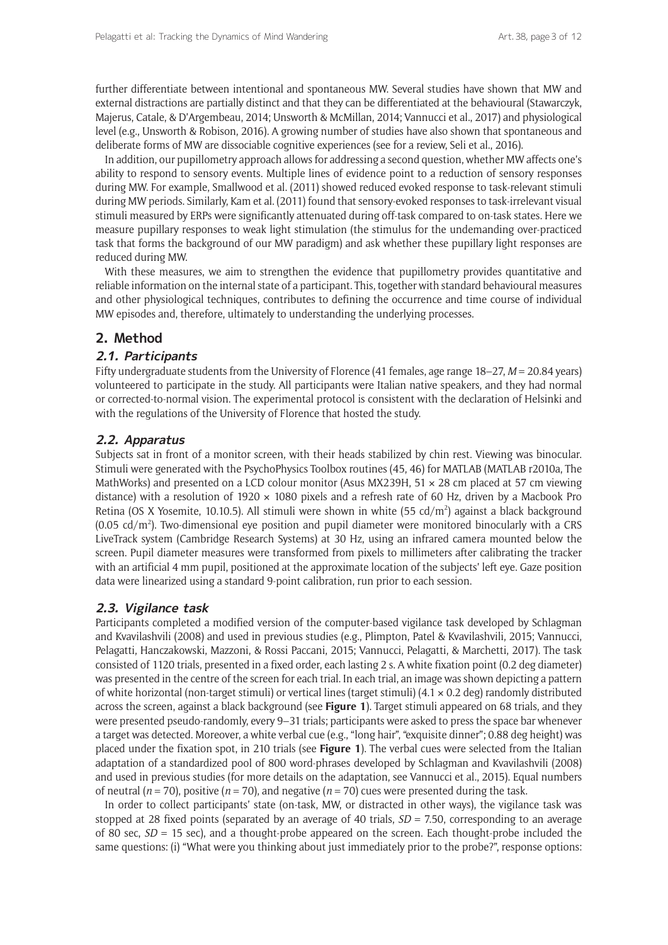further differentiate between intentional and spontaneous MW. Several studies have shown that MW and external distractions are partially distinct and that they can be differentiated at the behavioural (Stawarczyk, Majerus, Catale, & D'Argembeau, 2014; Unsworth & McMillan, 2014; Vannucci et al., 2017) and physiological level (e.g., Unsworth & Robison, 2016). A growing number of studies have also shown that spontaneous and deliberate forms of MW are dissociable cognitive experiences (see for a review, Seli et al., 2016).

In addition, our pupillometry approach allows for addressing a second question, whether MW affects one's ability to respond to sensory events. Multiple lines of evidence point to a reduction of sensory responses during MW. For example, Smallwood et al. (2011) showed reduced evoked response to task-relevant stimuli during MW periods. Similarly, Kam et al. (2011) found that sensory-evoked responses to task-irrelevant visual stimuli measured by ERPs were significantly attenuated during off-task compared to on-task states. Here we measure pupillary responses to weak light stimulation (the stimulus for the undemanding over-practiced task that forms the background of our MW paradigm) and ask whether these pupillary light responses are reduced during MW.

With these measures, we aim to strengthen the evidence that pupillometry provides quantitative and reliable information on the internal state of a participant. This, together with standard behavioural measures and other physiological techniques, contributes to defining the occurrence and time course of individual MW episodes and, therefore, ultimately to understanding the underlying processes.

## **2. Method**

#### **2.1. Participants**

Fifty undergraduate students from the University of Florence (41 females, age range 18–27, *M* = 20.84 years) volunteered to participate in the study. All participants were Italian native speakers, and they had normal or corrected-to-normal vision. The experimental protocol is consistent with the declaration of Helsinki and with the regulations of the University of Florence that hosted the study.

#### **2.2. Apparatus**

Subjects sat in front of a monitor screen, with their heads stabilized by chin rest. Viewing was binocular. Stimuli were generated with the PsychoPhysics Toolbox routines (45, 46) for MATLAB (MATLAB r2010a, The MathWorks) and presented on a LCD colour monitor (Asus MX239H,  $51 \times 28$  cm placed at 57 cm viewing distance) with a resolution of 1920  $\times$  1080 pixels and a refresh rate of 60 Hz, driven by a Macbook Pro Retina (OS X Yosemite, 10.10.5). All stimuli were shown in white  $(55 \text{ cd/m}^2)$  against a black background  $(0.05 \text{ cd/m}^2)$ . Two-dimensional eye position and pupil diameter were monitored binocularly with a CRS LiveTrack system (Cambridge Research Systems) at 30 Hz, using an infrared camera mounted below the screen. Pupil diameter measures were transformed from pixels to millimeters after calibrating the tracker with an artificial 4 mm pupil, positioned at the approximate location of the subjects' left eye. Gaze position data were linearized using a standard 9-point calibration, run prior to each session.

#### **2.3. Vigilance task**

Participants completed a modified version of the computer-based vigilance task developed by Schlagman and Kvavilashvili (2008) and used in previous studies (e.g., Plimpton, Patel & Kvavilashvili, 2015; Vannucci, Pelagatti, Hanczakowski, Mazzoni, & Rossi Paccani, 2015; Vannucci, Pelagatti, & Marchetti, 2017). The task consisted of 1120 trials, presented in a fixed order, each lasting 2 s. A white fixation point (0.2 deg diameter) was presented in the centre of the screen for each trial. In each trial, an image was shown depicting a pattern of white horizontal (non-target stimuli) or vertical lines (target stimuli) (4.1 × 0.2 deg) randomly distributed across the screen, against a black background (see **Figure 1**). Target stimuli appeared on 68 trials, and they were presented pseudo-randomly, every 9–31 trials; participants were asked to press the space bar whenever a target was detected. Moreover, a white verbal cue (e.g., "long hair", "exquisite dinner"; 0.88 deg height) was placed under the fixation spot, in 210 trials (see **Figure 1**). The verbal cues were selected from the Italian adaptation of a standardized pool of 800 word-phrases developed by Schlagman and Kvavilashvili (2008) and used in previous studies (for more details on the adaptation, see Vannucci et al., 2015). Equal numbers of neutral ( $n = 70$ ), positive ( $n = 70$ ), and negative ( $n = 70$ ) cues were presented during the task.

In order to collect participants' state (on-task, MW, or distracted in other ways), the vigilance task was stopped at 28 fixed points (separated by an average of 40 trials, *SD* = 7.50, corresponding to an average of 80 sec,  $SD = 15$  sec), and a thought-probe appeared on the screen. Each thought-probe included the same questions: (i) "What were you thinking about just immediately prior to the probe?", response options: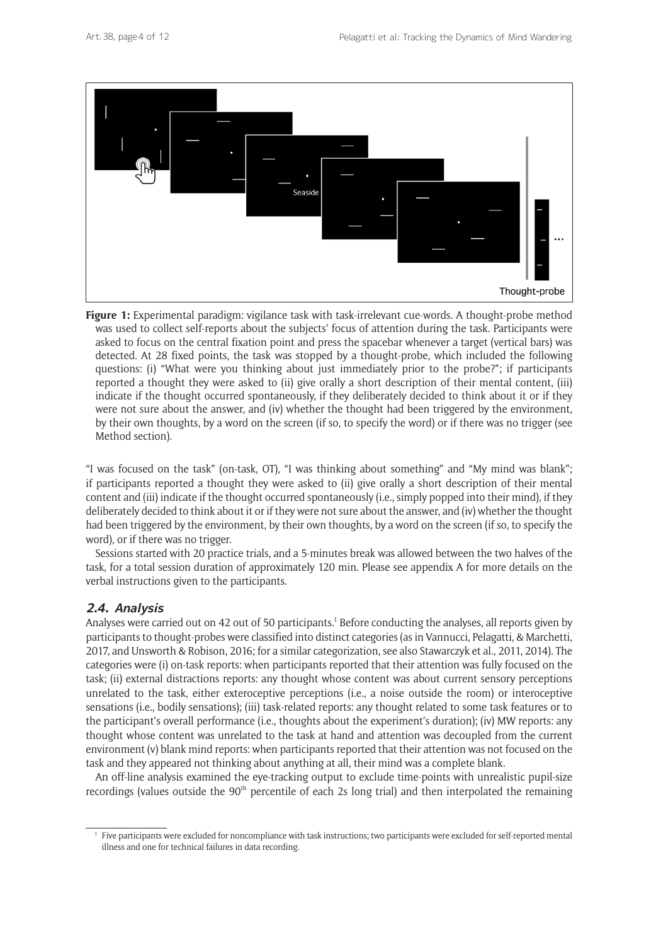

**Figure 1:** Experimental paradigm: vigilance task with task-irrelevant cue-words. A thought-probe method was used to collect self-reports about the subjects' focus of attention during the task. Participants were asked to focus on the central fixation point and press the spacebar whenever a target (vertical bars) was detected. At 28 fixed points, the task was stopped by a thought-probe, which included the following questions: (i) "What were you thinking about just immediately prior to the probe?"; if participants reported a thought they were asked to (ii) give orally a short description of their mental content, (iii) indicate if the thought occurred spontaneously, if they deliberately decided to think about it or if they were not sure about the answer, and (iv) whether the thought had been triggered by the environment, by their own thoughts, by a word on the screen (if so, to specify the word) or if there was no trigger (see Method section).

"I was focused on the task" (on-task, OT), "I was thinking about something" and "My mind was blank"; if participants reported a thought they were asked to (ii) give orally a short description of their mental content and (iii) indicate if the thought occurred spontaneously (i.e., simply popped into their mind), if they deliberately decided to think about it or if they were not sure about the answer, and (iv) whether the thought had been triggered by the environment, by their own thoughts, by a word on the screen (if so, to specify the word), or if there was no trigger.

Sessions started with 20 practice trials, and a 5-minutes break was allowed between the two halves of the task, for a total session duration of approximately 120 min. Please see appendix A for more details on the verbal instructions given to the participants.

## **2.4. Analysis**

Analyses were carried out on 42 out of 50 participants.<sup>1</sup> Before conducting the analyses, all reports given by participants to thought-probes were classified into distinct categories (as in Vannucci, Pelagatti, & Marchetti, 2017, and Unsworth & Robison, 2016; for a similar categorization, see also Stawarczyk et al., 2011, 2014). The categories were (i) on-task reports: when participants reported that their attention was fully focused on the task; (ii) external distractions reports: any thought whose content was about current sensory perceptions unrelated to the task, either exteroceptive perceptions (i.e., a noise outside the room) or interoceptive sensations (i.e., bodily sensations); (iii) task-related reports: any thought related to some task features or to the participant's overall performance (i.e., thoughts about the experiment's duration); (iv) MW reports: any thought whose content was unrelated to the task at hand and attention was decoupled from the current environment (v) blank mind reports: when participants reported that their attention was not focused on the task and they appeared not thinking about anything at all, their mind was a complete blank.

An off-line analysis examined the eye-tracking output to exclude time-points with unrealistic pupil-size recordings (values outside the 90<sup>th</sup> percentile of each 2s long trial) and then interpolated the remaining

<sup>1</sup> Five participants were excluded for noncompliance with task instructions; two participants were excluded for self-reported mental illness and one for technical failures in data recording.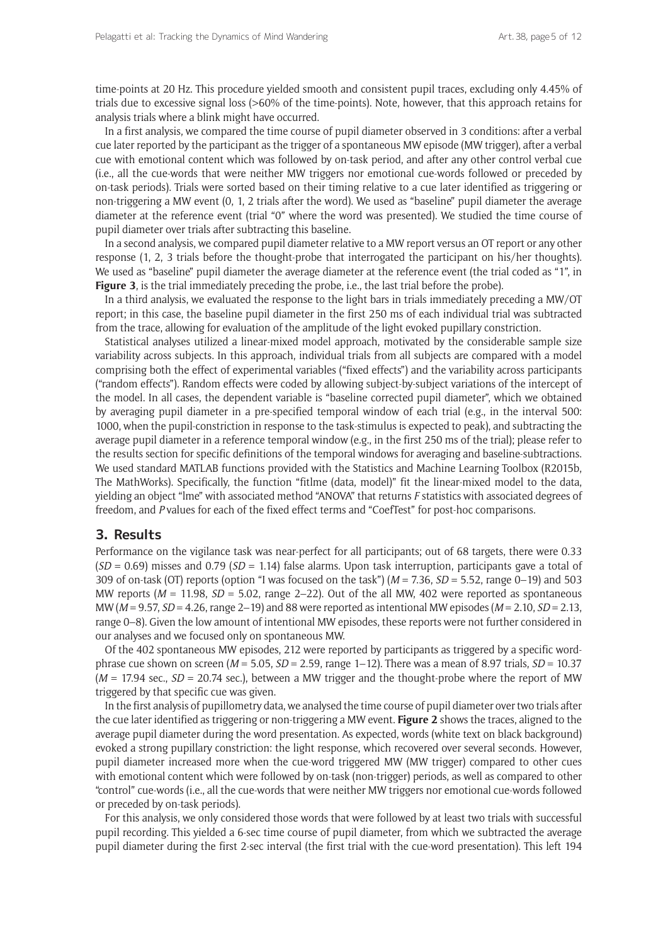time-points at 20 Hz. This procedure yielded smooth and consistent pupil traces, excluding only 4.45% of trials due to excessive signal loss (>60% of the time-points). Note, however, that this approach retains for analysis trials where a blink might have occurred.

In a first analysis, we compared the time course of pupil diameter observed in 3 conditions: after a verbal cue later reported by the participant as the trigger of a spontaneous MW episode (MW trigger), after a verbal cue with emotional content which was followed by on-task period, and after any other control verbal cue (i.e., all the cue-words that were neither MW triggers nor emotional cue-words followed or preceded by on-task periods). Trials were sorted based on their timing relative to a cue later identified as triggering or non-triggering a MW event (0, 1, 2 trials after the word). We used as "baseline" pupil diameter the average diameter at the reference event (trial "0" where the word was presented). We studied the time course of pupil diameter over trials after subtracting this baseline.

In a second analysis, we compared pupil diameter relative to a MW report versus an OT report or any other response (1, 2, 3 trials before the thought-probe that interrogated the participant on his/her thoughts). We used as "baseline" pupil diameter the average diameter at the reference event (the trial coded as "1", in **Figure 3**, is the trial immediately preceding the probe, i.e., the last trial before the probe).

In a third analysis, we evaluated the response to the light bars in trials immediately preceding a MW/OT report; in this case, the baseline pupil diameter in the first 250 ms of each individual trial was subtracted from the trace, allowing for evaluation of the amplitude of the light evoked pupillary constriction.

Statistical analyses utilized a linear-mixed model approach, motivated by the considerable sample size variability across subjects. In this approach, individual trials from all subjects are compared with a model comprising both the effect of experimental variables ("fixed effects") and the variability across participants ("random effects"). Random effects were coded by allowing subject-by-subject variations of the intercept of the model. In all cases, the dependent variable is "baseline corrected pupil diameter", which we obtained by averaging pupil diameter in a pre-specified temporal window of each trial (e.g., in the interval 500: 1000, when the pupil-constriction in response to the task-stimulus is expected to peak), and subtracting the average pupil diameter in a reference temporal window (e.g., in the first 250 ms of the trial); please refer to the results section for specific definitions of the temporal windows for averaging and baseline-subtractions. We used standard MATLAB functions provided with the Statistics and Machine Learning Toolbox (R2015b, The MathWorks). Specifically, the function "fitlme (data, model)" fit the linear-mixed model to the data, yielding an object "lme" with associated method "ANOVA" that returns *F* statistics with associated degrees of freedom, and *P* values for each of the fixed effect terms and "CoefTest" for post-hoc comparisons.

## **3. Results**

Performance on the vigilance task was near-perfect for all participants; out of 68 targets, there were 0.33 (*SD* = 0.69) misses and 0.79 (*SD* = 1.14) false alarms. Upon task interruption, participants gave a total of 309 of on-task (OT) reports (option "I was focused on the task") (*M* = 7.36, *SD* = 5.52, range 0–19) and 503 MW reports  $(M = 11.98, SD = 5.02$ , range 2-22). Out of the all MW, 402 were reported as spontaneous MW (*M* = 9.57, *SD* = 4.26, range 2–19) and 88 were reported as intentional MW episodes (*M* = 2.10, *SD* = 2.13, range 0–8). Given the low amount of intentional MW episodes, these reports were not further considered in our analyses and we focused only on spontaneous MW.

Of the 402 spontaneous MW episodes, 212 were reported by participants as triggered by a specific wordphrase cue shown on screen (*M* = 5.05, *SD* = 2.59, range 1–12). There was a mean of 8.97 trials, *SD* = 10.37  $(M = 17.94 \text{ sec.}, SD = 20.74 \text{ sec.})$ , between a MW trigger and the thought-probe where the report of MW triggered by that specific cue was given.

In the first analysis of pupillometry data, we analysed the time course of pupil diameter over two trials after the cue later identified as triggering or non-triggering a MW event. **Figure 2** shows the traces, aligned to the average pupil diameter during the word presentation. As expected, words (white text on black background) evoked a strong pupillary constriction: the light response, which recovered over several seconds. However, pupil diameter increased more when the cue-word triggered MW (MW trigger) compared to other cues with emotional content which were followed by on-task (non-trigger) periods, as well as compared to other "control" cue-words (i.e., all the cue-words that were neither MW triggers nor emotional cue-words followed or preceded by on-task periods).

For this analysis, we only considered those words that were followed by at least two trials with successful pupil recording. This yielded a 6-sec time course of pupil diameter, from which we subtracted the average pupil diameter during the first 2-sec interval (the first trial with the cue-word presentation). This left 194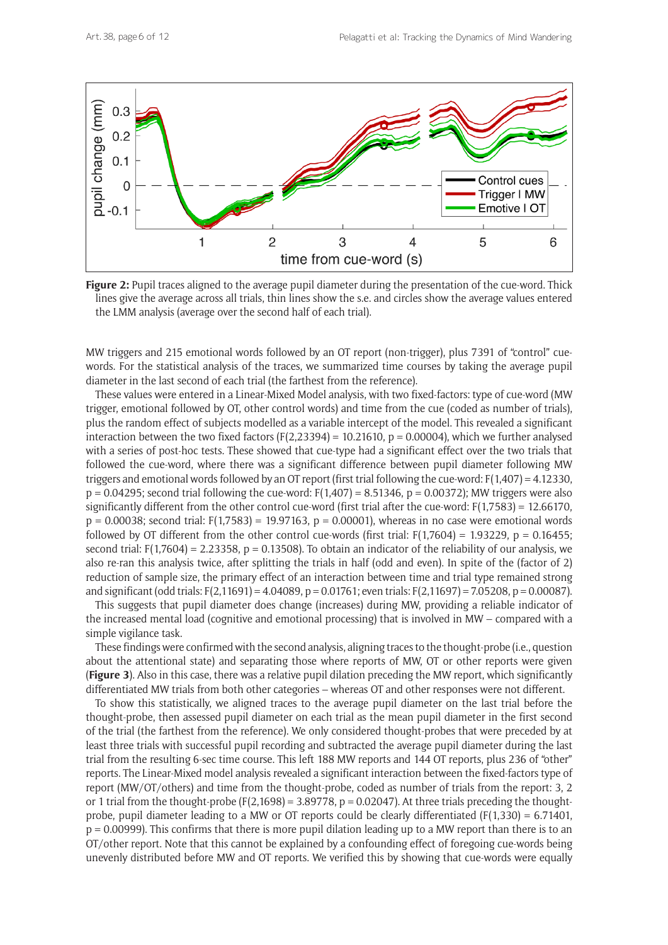

**Figure 2:** Pupil traces aligned to the average pupil diameter during the presentation of the cue-word. Thick lines give the average across all trials, thin lines show the s.e. and circles show the average values entered the LMM analysis (average over the second half of each trial).

MW triggers and 215 emotional words followed by an OT report (non-trigger), plus 7391 of "control" cuewords. For the statistical analysis of the traces, we summarized time courses by taking the average pupil diameter in the last second of each trial (the farthest from the reference).

These values were entered in a Linear-Mixed Model analysis, with two fixed-factors: type of cue-word (MW trigger, emotional followed by OT, other control words) and time from the cue (coded as number of trials), plus the random effect of subjects modelled as a variable intercept of the model. This revealed a significant interaction between the two fixed factors  $(F(2,23394) = 10.21610$ ,  $p = 0.00004$ ), which we further analysed with a series of post-hoc tests. These showed that cue-type had a significant effect over the two trials that followed the cue-word, where there was a significant difference between pupil diameter following MW triggers and emotional words followed by an OT report (first trial following the cue-word: F(1,407) = 4.12330,  $p = 0.04295$ ; second trial following the cue-word:  $F(1,407) = 8.51346$ ,  $p = 0.00372$ ); MW triggers were also significantly different from the other control cue-word (first trial after the cue-word: F(1,7583) = 12.66170,  $p = 0.00038$ ; second trial: F(1,7583) = 19.97163,  $p = 0.00001$ ), whereas in no case were emotional words followed by OT different from the other control cue-words (first trial:  $F(1.7604) = 1.93229$ ,  $p = 0.16455$ ; second trial:  $F(1,7604) = 2.23358$ ,  $p = 0.13508$ ). To obtain an indicator of the reliability of our analysis, we also re-ran this analysis twice, after splitting the trials in half (odd and even). In spite of the (factor of 2) reduction of sample size, the primary effect of an interaction between time and trial type remained strong and significant (odd trials: F(2,11691) = 4.04089, p = 0.01761; even trials: F(2,11697) = 7.05208, p = 0.00087).

This suggests that pupil diameter does change (increases) during MW, providing a reliable indicator of the increased mental load (cognitive and emotional processing) that is involved in MW – compared with a simple vigilance task.

These findings were confirmed with the second analysis, aligning traces to the thought-probe (i.e., question about the attentional state) and separating those where reports of MW, OT or other reports were given (**Figure 3**). Also in this case, there was a relative pupil dilation preceding the MW report, which significantly differentiated MW trials from both other categories – whereas OT and other responses were not different.

To show this statistically, we aligned traces to the average pupil diameter on the last trial before the thought-probe, then assessed pupil diameter on each trial as the mean pupil diameter in the first second of the trial (the farthest from the reference). We only considered thought-probes that were preceded by at least three trials with successful pupil recording and subtracted the average pupil diameter during the last trial from the resulting 6-sec time course. This left 188 MW reports and 144 OT reports, plus 236 of "other" reports. The Linear-Mixed model analysis revealed a significant interaction between the fixed-factors type of report (MW/OT/others) and time from the thought-probe, coded as number of trials from the report: 3, 2 or 1 trial from the thought-probe (F(2,1698) = 3.89778, p = 0.02047). At three trials preceding the thoughtprobe, pupil diameter leading to a MW or OT reports could be clearly differentiated (F(1,330) = 6.71401, p = 0.00999). This confirms that there is more pupil dilation leading up to a MW report than there is to an OT/other report. Note that this cannot be explained by a confounding effect of foregoing cue-words being unevenly distributed before MW and OT reports. We verified this by showing that cue-words were equally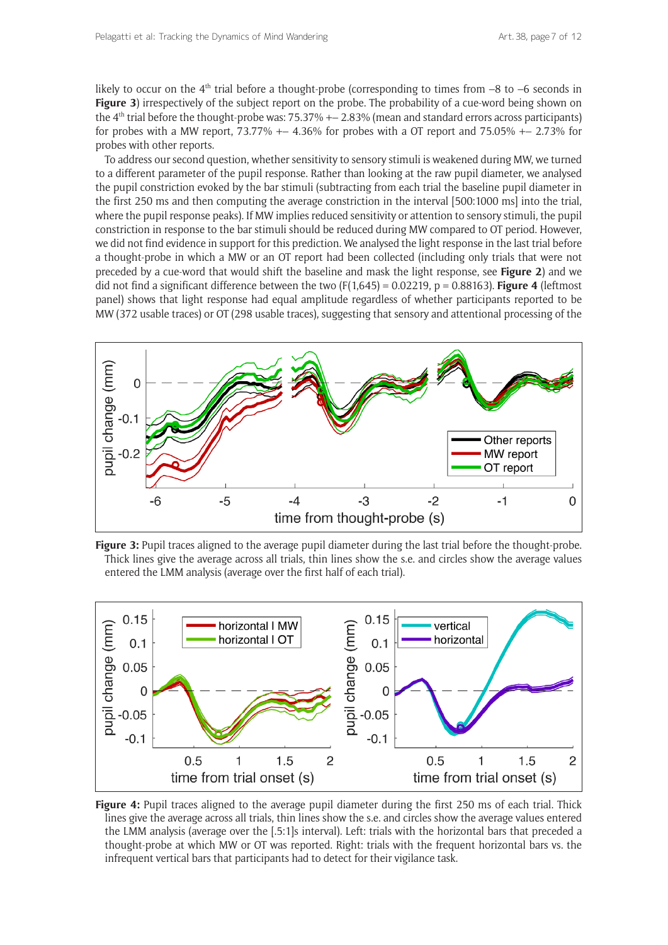likely to occur on the  $4<sup>th</sup>$  trial before a thought-probe (corresponding to times from  $-8$  to  $-6$  seconds in **Figure 3**) irrespectively of the subject report on the probe. The probability of a cue-word being shown on the  $4<sup>th</sup>$  trial before the thought-probe was: 75.37%  $+-$  2.83% (mean and standard errors across participants) for probes with a MW report,  $73.77\% + -4.36\%$  for probes with a OT report and  $75.05\% + -2.73\%$  for probes with other reports.

To address our second question, whether sensitivity to sensory stimuli is weakened during MW, we turned to a different parameter of the pupil response. Rather than looking at the raw pupil diameter, we analysed the pupil constriction evoked by the bar stimuli (subtracting from each trial the baseline pupil diameter in the first 250 ms and then computing the average constriction in the interval [500:1000 ms] into the trial, where the pupil response peaks). If MW implies reduced sensitivity or attention to sensory stimuli, the pupil constriction in response to the bar stimuli should be reduced during MW compared to OT period. However, we did not find evidence in support for this prediction. We analysed the light response in the last trial before a thought-probe in which a MW or an OT report had been collected (including only trials that were not preceded by a cue-word that would shift the baseline and mask the light response, see **Figure 2**) and we did not find a significant difference between the two (F(1,645) = 0.02219, p = 0.88163). **Figure 4** (leftmost panel) shows that light response had equal amplitude regardless of whether participants reported to be MW (372 usable traces) or OT (298 usable traces), suggesting that sensory and attentional processing of the



**Figure 3:** Pupil traces aligned to the average pupil diameter during the last trial before the thought-probe. Thick lines give the average across all trials, thin lines show the s.e. and circles show the average values entered the LMM analysis (average over the first half of each trial).



**Figure 4:** Pupil traces aligned to the average pupil diameter during the first 250 ms of each trial. Thick lines give the average across all trials, thin lines show the s.e. and circles show the average values entered the LMM analysis (average over the [.5:1]s interval). Left: trials with the horizontal bars that preceded a thought-probe at which MW or OT was reported. Right: trials with the frequent horizontal bars vs. the infrequent vertical bars that participants had to detect for their vigilance task.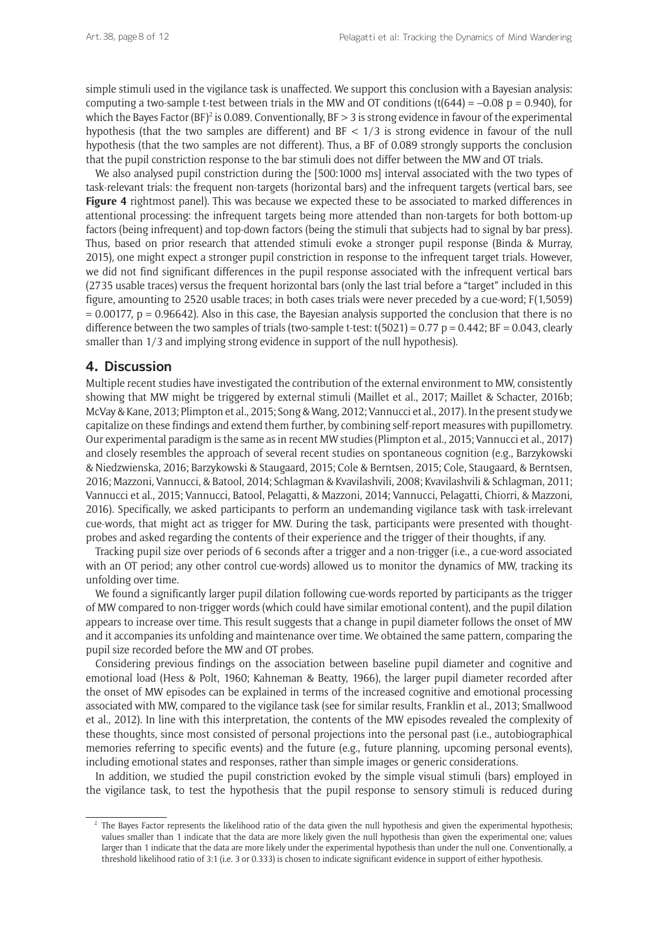simple stimuli used in the vigilance task is unaffected. We support this conclusion with a Bayesian analysis: computing a two-sample t-test between trials in the MW and OT conditions (t(644) = –0.08 p = 0.940), for which the Bayes Factor (BF)<sup>2</sup> is 0.089. Conventionally, BF  $>$  3 is strong evidence in favour of the experimental hypothesis (that the two samples are different) and  $BF < 1/3$  is strong evidence in favour of the null hypothesis (that the two samples are not different). Thus, a BF of 0.089 strongly supports the conclusion that the pupil constriction response to the bar stimuli does not differ between the MW and OT trials.

We also analysed pupil constriction during the [500:1000 ms] interval associated with the two types of task-relevant trials: the frequent non-targets (horizontal bars) and the infrequent targets (vertical bars, see **Figure 4** rightmost panel). This was because we expected these to be associated to marked differences in attentional processing: the infrequent targets being more attended than non-targets for both bottom-up factors (being infrequent) and top-down factors (being the stimuli that subjects had to signal by bar press). Thus, based on prior research that attended stimuli evoke a stronger pupil response (Binda & Murray, 2015), one might expect a stronger pupil constriction in response to the infrequent target trials. However, we did not find significant differences in the pupil response associated with the infrequent vertical bars (2735 usable traces) versus the frequent horizontal bars (only the last trial before a "target" included in this figure, amounting to 2520 usable traces; in both cases trials were never preceded by a cue-word; F(1,5059)  $= 0.00177$ , p  $= 0.96642$ ). Also in this case, the Bayesian analysis supported the conclusion that there is no difference between the two samples of trials (two-sample t-test:  $t(5021) = 0.77$  p = 0.442; BF = 0.043, clearly smaller than 1/3 and implying strong evidence in support of the null hypothesis).

## **4. Discussion**

Multiple recent studies have investigated the contribution of the external environment to MW, consistently showing that MW might be triggered by external stimuli (Maillet et al., 2017; Maillet & Schacter, 2016b; McVay & Kane, 2013; Plimpton et al., 2015; Song & Wang, 2012; Vannucci et al., 2017). In the present study we capitalize on these findings and extend them further, by combining self-report measures with pupillometry. Our experimental paradigm is the same as in recent MW studies (Plimpton et al., 2015; Vannucci et al., 2017) and closely resembles the approach of several recent studies on spontaneous cognition (e.g., Barzykowski & Niedzwienska, 2016; Barzykowski & Staugaard, 2015; Cole & Berntsen, 2015; Cole, Staugaard, & Berntsen, 2016; Mazzoni, Vannucci, & Batool, 2014; Schlagman & Kvavilashvili, 2008; Kvavilashvili & Schlagman, 2011; Vannucci et al., 2015; Vannucci, Batool, Pelagatti, & Mazzoni, 2014; Vannucci, Pelagatti, Chiorri, & Mazzoni, 2016). Specifically, we asked participants to perform an undemanding vigilance task with task-irrelevant cue-words, that might act as trigger for MW. During the task, participants were presented with thoughtprobes and asked regarding the contents of their experience and the trigger of their thoughts, if any.

Tracking pupil size over periods of 6 seconds after a trigger and a non-trigger (i.e., a cue-word associated with an OT period; any other control cue-words) allowed us to monitor the dynamics of MW, tracking its unfolding over time.

We found a significantly larger pupil dilation following cue-words reported by participants as the trigger of MW compared to non-trigger words (which could have similar emotional content), and the pupil dilation appears to increase over time. This result suggests that a change in pupil diameter follows the onset of MW and it accompanies its unfolding and maintenance over time. We obtained the same pattern, comparing the pupil size recorded before the MW and OT probes.

Considering previous findings on the association between baseline pupil diameter and cognitive and emotional load (Hess & Polt, 1960; Kahneman & Beatty, 1966), the larger pupil diameter recorded after the onset of MW episodes can be explained in terms of the increased cognitive and emotional processing associated with MW, compared to the vigilance task (see for similar results, Franklin et al., 2013; Smallwood et al., 2012). In line with this interpretation, the contents of the MW episodes revealed the complexity of these thoughts, since most consisted of personal projections into the personal past (i.e., autobiographical memories referring to specific events) and the future (e.g., future planning, upcoming personal events), including emotional states and responses, rather than simple images or generic considerations.

In addition, we studied the pupil constriction evoked by the simple visual stimuli (bars) employed in the vigilance task, to test the hypothesis that the pupil response to sensory stimuli is reduced during

<sup>2</sup> The Bayes Factor represents the likelihood ratio of the data given the null hypothesis and given the experimental hypothesis; values smaller than 1 indicate that the data are more likely given the null hypothesis than given the experimental one; values larger than 1 indicate that the data are more likely under the experimental hypothesis than under the null one. Conventionally, a threshold likelihood ratio of 3:1 (i.e. 3 or 0.333) is chosen to indicate significant evidence in support of either hypothesis.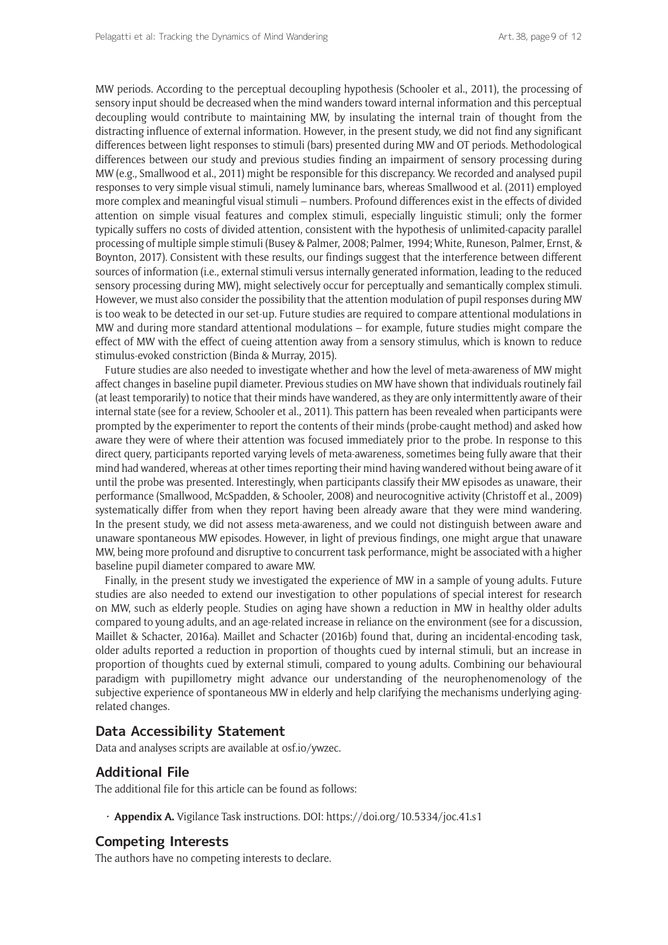MW periods. According to the perceptual decoupling hypothesis (Schooler et al., 2011), the processing of sensory input should be decreased when the mind wanders toward internal information and this perceptual decoupling would contribute to maintaining MW, by insulating the internal train of thought from the distracting influence of external information. However, in the present study, we did not find any significant differences between light responses to stimuli (bars) presented during MW and OT periods. Methodological differences between our study and previous studies finding an impairment of sensory processing during MW (e.g., Smallwood et al., 2011) might be responsible for this discrepancy. We recorded and analysed pupil responses to very simple visual stimuli, namely luminance bars, whereas Smallwood et al. (2011) employed more complex and meaningful visual stimuli – numbers. Profound differences exist in the effects of divided attention on simple visual features and complex stimuli, especially linguistic stimuli; only the former typically suffers no costs of divided attention, consistent with the hypothesis of unlimited-capacity parallel processing of multiple simple stimuli (Busey & Palmer, 2008; Palmer, 1994; White, Runeson, Palmer, Ernst, & Boynton, 2017). Consistent with these results, our findings suggest that the interference between different sources of information (i.e., external stimuli versus internally generated information, leading to the reduced sensory processing during MW), might selectively occur for perceptually and semantically complex stimuli. However, we must also consider the possibility that the attention modulation of pupil responses during MW is too weak to be detected in our set-up. Future studies are required to compare attentional modulations in MW and during more standard attentional modulations – for example, future studies might compare the effect of MW with the effect of cueing attention away from a sensory stimulus, which is known to reduce stimulus-evoked constriction (Binda & Murray, 2015).

Future studies are also needed to investigate whether and how the level of meta-awareness of MW might affect changes in baseline pupil diameter. Previous studies on MW have shown that individuals routinely fail (at least temporarily) to notice that their minds have wandered, as they are only intermittently aware of their internal state (see for a review, Schooler et al., 2011). This pattern has been revealed when participants were prompted by the experimenter to report the contents of their minds (probe-caught method) and asked how aware they were of where their attention was focused immediately prior to the probe. In response to this direct query, participants reported varying levels of meta-awareness, sometimes being fully aware that their mind had wandered, whereas at other times reporting their mind having wandered without being aware of it until the probe was presented. Interestingly, when participants classify their MW episodes as unaware, their performance (Smallwood, McSpadden, & Schooler, 2008) and neurocognitive activity (Christoff et al., 2009) systematically differ from when they report having been already aware that they were mind wandering. In the present study, we did not assess meta-awareness, and we could not distinguish between aware and unaware spontaneous MW episodes. However, in light of previous findings, one might argue that unaware MW, being more profound and disruptive to concurrent task performance, might be associated with a higher baseline pupil diameter compared to aware MW.

Finally, in the present study we investigated the experience of MW in a sample of young adults. Future studies are also needed to extend our investigation to other populations of special interest for research on MW, such as elderly people. Studies on aging have shown a reduction in MW in healthy older adults compared to young adults, and an age-related increase in reliance on the environment (see for a discussion, Maillet & Schacter, 2016a). Maillet and Schacter (2016b) found that, during an incidental-encoding task, older adults reported a reduction in proportion of thoughts cued by internal stimuli, but an increase in proportion of thoughts cued by external stimuli, compared to young adults. Combining our behavioural paradigm with pupillometry might advance our understanding of the neurophenomenology of the subjective experience of spontaneous MW in elderly and help clarifying the mechanisms underlying agingrelated changes.

## **Data Accessibility Statement**

Data and analyses scripts are available at [osf.io/ywzec.](http://osf.io/ywzec)

## **Additional File**

The additional file for this article can be found as follows:

• **Appendix A.** Vigilance Task instructions. DOI: <https://doi.org/10.5334/joc.41.s1>

## **Competing Interests**

The authors have no competing interests to declare.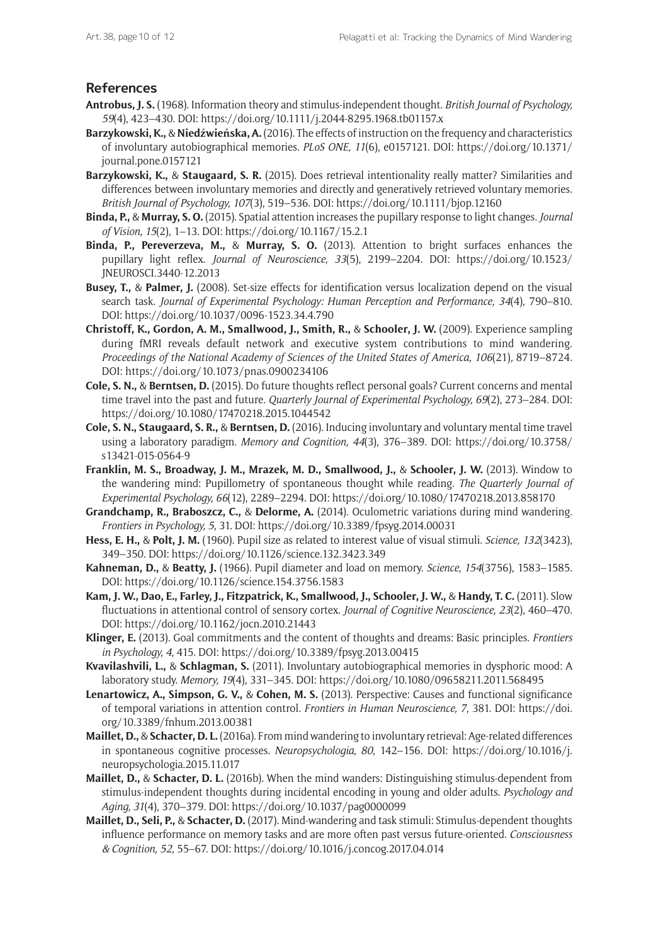## **References**

- **Antrobus, J. S.** (1968). Information theory and stimulus-independent thought. *British Journal of Psychology, 59*(4), 423–430. DOI:<https://doi.org/10.1111/j.2044-8295.1968.tb01157.x>
- **Barzykowski, K.,** & **Niedźwieńska, A.** (2016). The effects of instruction on the frequency and characteristics of involuntary autobiographical memories. *PLoS ONE, 11*(6), e0157121. DOI: [https://doi.org/10.1371/](https://doi.org/10.1371/journal.pone.0157121) [journal.pone.0157121](https://doi.org/10.1371/journal.pone.0157121)
- **Barzykowski, K.,** & **Staugaard, S. R.** (2015). Does retrieval intentionality really matter? Similarities and differences between involuntary memories and directly and generatively retrieved voluntary memories. *British Journal of Psychology, 107*(3), 519–536. DOI: <https://doi.org/10.1111/bjop.12160>
- **Binda, P.,** & **Murray, S. O.** (2015). Spatial attention increases the pupillary response to light changes. *Journal of Vision, 15*(2), 1–13. DOI: <https://doi.org/10.1167/15.2.1>
- **Binda, P., Pereverzeva, M.,** & **Murray, S. O.** (2013). Attention to bright surfaces enhances the pupillary light reflex. *Journal of Neuroscience, 33*(5), 2199–2204. DOI: [https://doi.org/10.1523/](https://doi.org/10.1523/JNEUROSCI.3440-12.2013) [JNEUROSCI.3440-12.2013](https://doi.org/10.1523/JNEUROSCI.3440-12.2013)
- **Busey, T.,** & **Palmer, J.** (2008). Set-size effects for identification versus localization depend on the visual search task. *Journal of Experimental Psychology: Human Perception and Performance, 34*(4)*,* 790–810. DOI:<https://doi.org/10.1037/0096-1523.34.4.790>
- **Christoff, K., Gordon, A. M., Smallwood, J., Smith, R.,** & **Schooler, J. W.** (2009). Experience sampling during fMRI reveals default network and executive system contributions to mind wandering. *Proceedings of the National Academy of Sciences of the United States of America, 106*(21)*,* 8719–8724. DOI: <https://doi.org/10.1073/pnas.0900234106>
- **Cole, S. N.,** & **Berntsen, D.** (2015). Do future thoughts reflect personal goals? Current concerns and mental time travel into the past and future. *Quarterly Journal of Experimental Psychology, 69*(2), 273–284. DOI: <https://doi.org/10.1080/17470218.2015.1044542>
- **Cole, S. N., Staugaard, S. R.,** & **Berntsen, D.** (2016). Inducing involuntary and voluntary mental time travel using a laboratory paradigm. *Memory and Cognition, 44*(3), 376–389. DOI: [https://doi.org/10.3758/](https://doi.org/10.3758/s13421-015-0564-9) [s13421-015-0564-9](https://doi.org/10.3758/s13421-015-0564-9)
- **Franklin, M. S., Broadway, J. M., Mrazek, M. D., Smallwood, J.,** & **Schooler, J. W.** (2013). Window to the wandering mind: Pupillometry of spontaneous thought while reading. *The Quarterly Journal of Experimental Psychology, 66*(12), 2289–2294. DOI:<https://doi.org/10.1080/17470218.2013.858170>
- **Grandchamp, R., Braboszcz, C.,** & **Delorme, A.** (2014). Oculometric variations during mind wandering. *Frontiers in Psychology, 5*, 31. DOI: <https://doi.org/10.3389/fpsyg.2014.00031>
- **Hess, E. H.,** & **Polt, J. M.** (1960). Pupil size as related to interest value of visual stimuli. *Science, 132*(3423), 349–350. DOI:<https://doi.org/10.1126/science.132.3423.349>
- **Kahneman, D.,** & **Beatty, J.** (1966). Pupil diameter and load on memory. *Science, 154*(3756), 1583–1585. DOI:<https://doi.org/10.1126/science.154.3756.1583>
- **Kam, J. W., Dao, E., Farley, J., Fitzpatrick, K., Smallwood, J., Schooler, J. W.,** & **Handy, T. C.** (2011). Slow fluctuations in attentional control of sensory cortex. *Journal of Cognitive Neuroscience, 23*(2), 460–470. DOI:<https://doi.org/10.1162/jocn.2010.21443>
- **Klinger, E.** (2013). Goal commitments and the content of thoughts and dreams: Basic principles. *Frontiers in Psychology, 4*, 415. DOI:<https://doi.org/10.3389/fpsyg.2013.00415>
- **Kvavilashvili, L.,** & **Schlagman, S.** (2011). Involuntary autobiographical memories in dysphoric mood: A laboratory study. *Memory, 19*(4), 331–345. DOI: <https://doi.org/10.1080/09658211.2011.568495>
- **Lenartowicz, A., Simpson, G. V.,** & **Cohen, M. S.** (2013). Perspective: Causes and functional significance of temporal variations in attention control. *Frontiers in Human Neuroscience, 7*, 381. DOI: [https://doi.](https://doi.org/10.3389/fnhum.2013.00381) [org/10.3389/fnhum.2013.00381](https://doi.org/10.3389/fnhum.2013.00381)
- **Maillet, D.,** & **Schacter, D. L.** (2016a). From mind wandering to involuntary retrieval: Age-related differences in spontaneous cognitive processes. *Neuropsychologia, 80*, 142–156. DOI: [https://doi.org/10.1016/j.](https://doi.org/10.1016/j.neuropsychologia.2015.11.017) [neuropsychologia.2015.11.017](https://doi.org/10.1016/j.neuropsychologia.2015.11.017)
- **Maillet, D.,** & **Schacter, D. L.** (2016b). When the mind wanders: Distinguishing stimulus-dependent from stimulus-independent thoughts during incidental encoding in young and older adults. *Psychology and Aging, 31*(4), 370–379. DOI: <https://doi.org/10.1037/pag0000099>
- **Maillet, D., Seli, P.,** & **Schacter, D.** (2017). Mind-wandering and task stimuli: Stimulus-dependent thoughts influence performance on memory tasks and are more often past versus future-oriented. *Consciousness & Cognition, 52*, 55–67. DOI:<https://doi.org/10.1016/j.concog.2017.04.014>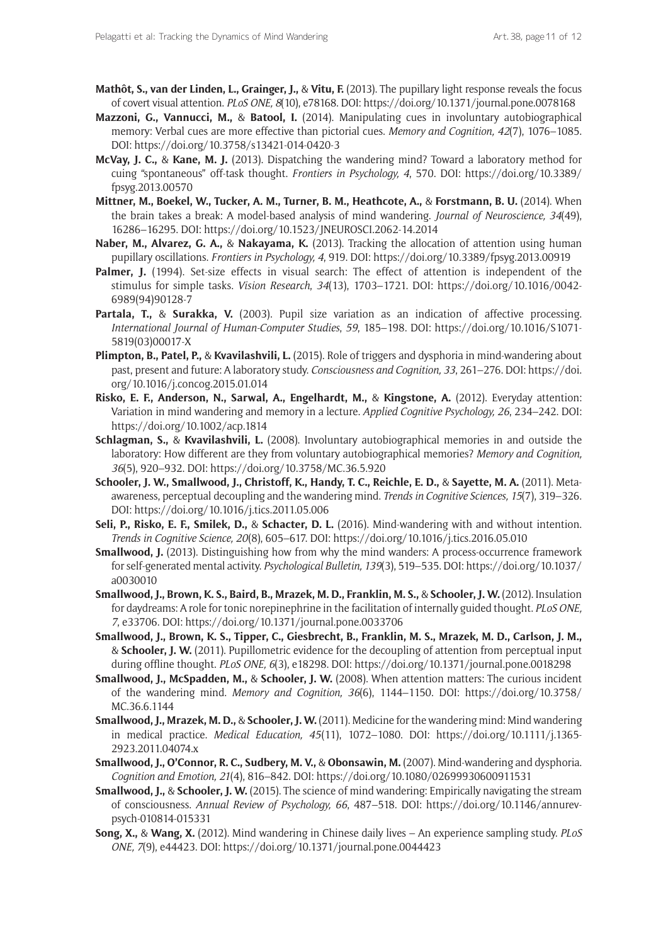- **Mathôt, S., van der Linden, L., Grainger, J.,** & **Vitu, F.** (2013). The pupillary light response reveals the focus of covert visual attention. *PLoS ONE, 8*(10), e78168. DOI:<https://doi.org/10.1371/journal.pone.0078168>
- **Mazzoni, G., Vannucci, M.,** & **Batool, I.** (2014). Manipulating cues in involuntary autobiographical memory: Verbal cues are more effective than pictorial cues. *Memory and Cognition, 42*(7), 1076–1085. DOI: <https://doi.org/10.3758/s13421-014-0420-3>
- **McVay, J. C.,** & **Kane, M. J.** (2013). Dispatching the wandering mind? Toward a laboratory method for cuing "spontaneous" off-task thought. *Frontiers in Psychology, 4*, 570. DOI: [https://doi.org/10.3389/](https://doi.org/10.3389/fpsyg.2013.00570) [fpsyg.2013.00570](https://doi.org/10.3389/fpsyg.2013.00570)
- **Mittner, M., Boekel, W., Tucker, A. M., Turner, B. M., Heathcote, A.,** & **Forstmann, B. U.** (2014). When the brain takes a break: A model-based analysis of mind wandering. *Journal of Neuroscience, 34*(49), 16286–16295. DOI: <https://doi.org/10.1523/JNEUROSCI.2062-14.2014>
- **Naber, M., Alvarez, G. A.,** & **Nakayama, K.** (2013). Tracking the allocation of attention using human pupillary oscillations. *Frontiers in Psychology, 4*, 919. DOI: <https://doi.org/10.3389/fpsyg.2013.00919>
- Palmer, J. (1994). Set-size effects in visual search: The effect of attention is independent of the stimulus for simple tasks. *Vision Research*, *34*(13), 1703–1721. DOI: [https://doi.org/10.1016/0042-](https://doi.org/10.1016/0042-6989(94)90128-7) [6989\(94\)90128-7](https://doi.org/10.1016/0042-6989(94)90128-7)
- **Partala, T.,** & **Surakka, V.** (2003). Pupil size variation as an indication of affective processing. *International Journal of Human-Computer Studies*, *59*, 185–198. DOI: [https://doi.org/10.1016/S1071-](https://doi.org/10.1016/S1071-5819(03)00017-X) [5819\(03\)00017-X](https://doi.org/10.1016/S1071-5819(03)00017-X)
- **Plimpton, B., Patel, P.,** & **Kvavilashvili, L.** (2015). Role of triggers and dysphoria in mind-wandering about past, present and future: A laboratory study. *Consciousness and Cognition, 33*, 261–276. DOI: [https://doi.](https://doi.org/10.1016/j.concog.2015.01.014) [org/10.1016/j.concog.2015.01.014](https://doi.org/10.1016/j.concog.2015.01.014)
- **Risko, E. F., Anderson, N., Sarwal, A., Engelhardt, M.,** & **Kingstone, A.** (2012). Everyday attention: Variation in mind wandering and memory in a lecture. *Applied Cognitive Psychology, 26*, 234–242. DOI: <https://doi.org/10.1002/acp.1814>
- **Schlagman, S.,** & **Kvavilashvili, L.** (2008). Involuntary autobiographical memories in and outside the laboratory: How different are they from voluntary autobiographical memories? *Memory and Cognition, 36*(5), 920–932. DOI: <https://doi.org/10.3758/MC.36.5.920>
- **Schooler, J. W., Smallwood, J., Christoff, K., Handy, T. C., Reichle, E. D.,** & **Sayette, M. A.** (2011). Metaawareness, perceptual decoupling and the wandering mind. *Trends in Cognitive Sciences, 15*(7), 319–326. DOI: <https://doi.org/10.1016/j.tics.2011.05.006>
- **Seli, P., Risko, E. F., Smilek, D.,** & **Schacter, D. L.** (2016). Mind-wandering with and without intention. *Trends in Cognitive Science, 20*(8), 605–617. DOI:<https://doi.org/10.1016/j.tics.2016.05.010>
- **Smallwood, J.** (2013). Distinguishing how from why the mind wanders: A process-occurrence framework for self-generated mental activity. *Psychological Bulletin, 139*(3), 519–535. DOI: [https://doi.org/10.1037/](https://doi.org/10.1037/a0030010) [a0030010](https://doi.org/10.1037/a0030010)
- **Smallwood, J., Brown, K. S., Baird, B., Mrazek, M. D., Franklin, M. S.,** & **Schooler, J. W.** (2012). Insulation for daydreams: A role for tonic norepinephrine in the facilitation of internally guided thought. *PLoS ONE, 7*, e33706. DOI:<https://doi.org/10.1371/journal.pone.0033706>
- **Smallwood, J., Brown, K. S., Tipper, C., Giesbrecht, B., Franklin, M. S., Mrazek, M. D., Carlson, J. M.,**  & **Schooler, J. W.** (2011). Pupillometric evidence for the decoupling of attention from perceptual input during offline thought. *PLoS ONE, 6*(3), e18298. DOI:<https://doi.org/10.1371/journal.pone.0018298>
- **Smallwood, J., McSpadden, M.,** & **Schooler, J. W.** (2008). When attention matters: The curious incident of the wandering mind. *Memory and Cognition, 36*(6), 1144–1150. DOI: [https://doi.org/10.3758/](https://doi.org/10.3758/MC.36.6.1144) [MC.36.6.1144](https://doi.org/10.3758/MC.36.6.1144)
- **Smallwood, J., Mrazek, M. D.,** & **Schooler, J. W.** (2011). Medicine for the wandering mind: Mind wandering in medical practice. *Medical Education, 45*(11), 1072–1080. DOI: [https://doi.org/10.1111/j.1365-](https://doi.org/10.1111/j.1365-2923.2011.04074.x) [2923.2011.04074.x](https://doi.org/10.1111/j.1365-2923.2011.04074.x)
- **Smallwood, J., O'Connor, R. C., Sudbery, M. V.,** & **Obonsawin, M.** (2007). Mind-wandering and dysphoria. *Cognition and Emotion, 21*(4), 816–842. DOI:<https://doi.org/10.1080/02699930600911531>
- **Smallwood, J.,** & **Schooler, J. W.** (2015). The science of mind wandering: Empirically navigating the stream of consciousness. *Annual Review of Psychology, 66*, 487–518. DOI: [https://doi.org/10.1146/annurev](https://doi.org/10.1146/annurev-psych-010814-015331)[psych-010814-015331](https://doi.org/10.1146/annurev-psych-010814-015331)
- **Song, X.,** & **Wang, X.** (2012). Mind wandering in Chinese daily lives An experience sampling study. *PLoS ONE, 7*(9), e44423. DOI: <https://doi.org/10.1371/journal.pone.0044423>